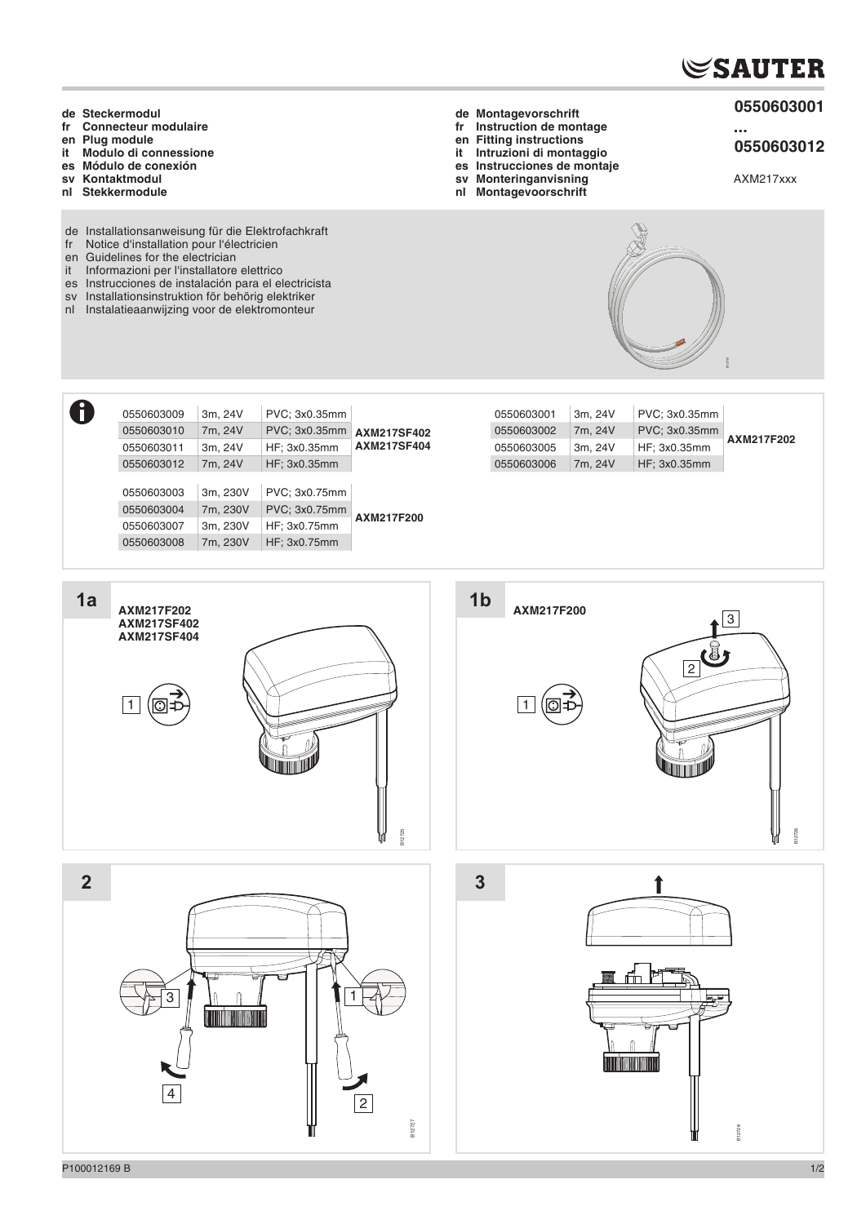## **SAUTER**

- **0550603001**
- **...**
- **0550603012**
- AXM217xxx
- **de Steckermodul fr Connecteur modulaire**
- **en Plug module it Modulo di connessione**
- **es Módulo de conexión**
- **sv Kontaktmodul**
- **nl Stekkermodule**
- de Installationsanweisung für die Elektrofachkraft
- fr Notice d'installation pour l'électricien
- en Guidelines for the electrician
- it Informazioni per l'installatore elettrico
- es Instrucciones de instalación para el electricista
- sv Installationsinstruktion för behörig elektriker
- nl Instalatieaanwijzing voor de elektromonteur

**fr Instruction de montage**

- **en Fitting instructions it Intruzioni di montaggio**
- **es Instrucciones de montaje**
- **sv Monteringanvisning**
- **nl Montagevoorschrift**

**de Montagevorschrift**

 $\vert 1 \vert$ 

B12733

| 0550603009 | 3m, 24V  | PVC: 3x0.35mm |                    |
|------------|----------|---------------|--------------------|
| 0550603010 | 7m, 24V  | PVC: 3x0.35mm | <b>AXM217SF402</b> |
| 0550603011 | 3m, 24V  | HF: 3x0.35mm  | <b>AXM217SF404</b> |
| 0550603012 | 7m, 24V  | HF: 3x0.35mm  |                    |
|            |          |               |                    |
| 0550603003 | 3m. 230V | PVC; 3x0.75mm |                    |
| 0550603004 | 7m, 230V | PVC; 3x0.75mm | AXM217F200         |
| 0550603007 | 3m, 230V | HF: 3x0.75mm  |                    |
| 0550603008 | 7m, 230V | HF: 3x0.75mm  |                    |
|            |          |               |                    |

| PVC: 3x0.35mm<br>0550603002<br>7m. 24V<br>AXM217F202 |  |
|------------------------------------------------------|--|
| HF: 3x0.35mm<br>3m. 24V<br>0550603005                |  |
| HF: 3x0.35mm<br>0550603006<br>7m. 24V                |  |
|                                                      |  |